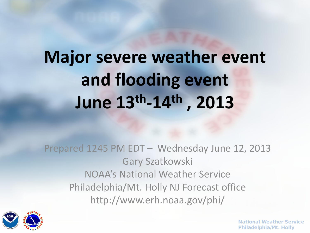# **Major severe weather event and flooding event June 13th-14th , 2013**

Prepared 1245 PM EDT – Wednesday June 12, 2013 Gary Szatkowski NOAA's National Weather Service Philadelphia/Mt. Holly NJ Forecast office http://www.erh.noaa.gov/phi/

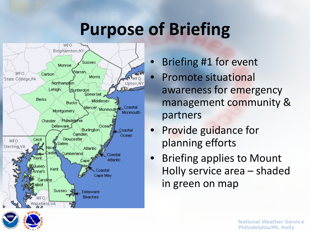## **Purpose of Briefing**



- Briefing #1 for event
- Promote situational awareness for emergency management community & partners
- Provide guidance for planning efforts
- Briefing applies to Mount Holly service area – shaded in green on map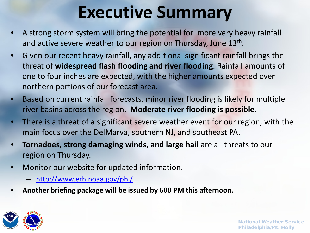## **Executive Summary**

- A strong storm system will bring the potential for more very heavy rainfall and active severe weather to our region on Thursday, June 13<sup>th</sup>.
- Given our recent heavy rainfall, any additional significant rainfall brings the threat of **widespread flash flooding and river flooding**. Rainfall amounts of one to four inches are expected, with the higher amounts expected over northern portions of our forecast area.
- Based on current rainfall forecasts, minor river flooding is likely for multiple river basins across the region. **Moderate river flooding is possible**.
- There is a threat of a significant severe weather event for our region, with the main focus over the DelMarva, southern NJ, and southeast PA.
- **Tornadoes, strong damaging winds, and large hail** are all threats to our region on Thursday.
- Monitor our website for updated information.
	- <http://www.erh.noaa.gov/phi/>
- **Another briefing package will be issued by 600 PM this afternoon.**

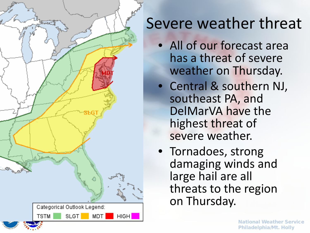

#### Severe weather threat

- All of our forecast area has a threat of severe weather on Thursday.
- Central & southern NJ, southeast PA, and DelMarVA have the highest threat of severe weather.
- Tornadoes, strong damaging winds and large hail are all threats to the region on Thursday.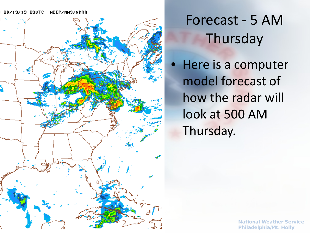#### 06/13/13 09UTC **NCEP/NWS/NOAA**



#### Forecast - 5 AM **Thursday**

• Here is a computer model forecast of how the radar will look at 500 AM Thursday.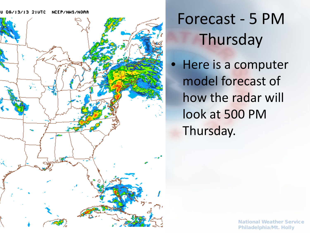#### U 06/13/13 21UTC NCEP/NWS/NOAA



#### Forecast - 5 PM **Thursday**

• Here is a computer model forecast of how the radar will look at 500 PM Thursday.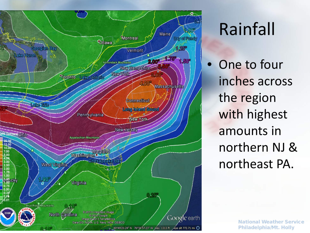

## Rainfall

One to four inches across the region with highest amounts in northern NJ & northeast PA.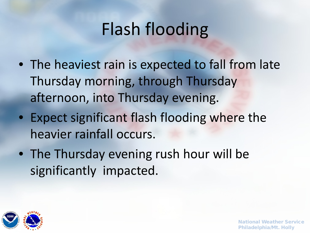## Flash flooding

- The heaviest rain is expected to fall from late Thursday morning, through Thursday afternoon, into Thursday evening.
- Expect significant flash flooding where the heavier rainfall occurs.
- The Thursday evening rush hour will be significantly impacted.

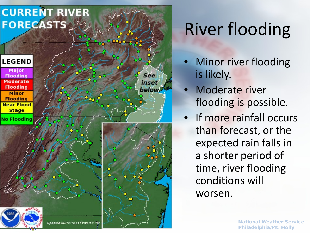

# River flooding

- **Minor river flooding** is likely.
- Moderate river flooding is possible.
- If more rainfall occurs than forecast, or the expected rain falls in a shorter period of time, river flooding conditions will worsen.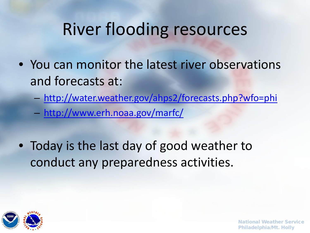### River flooding resources

- You can monitor the latest river observations and forecasts at:
	- <http://water.weather.gov/ahps2/forecasts.php?wfo=phi>
	- <http://www.erh.noaa.gov/marfc/>
- Today is the last day of good weather to conduct any preparedness activities.